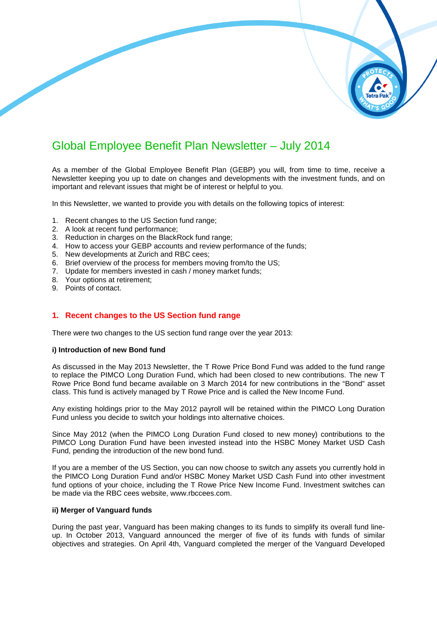# Global Employee Benefit Plan Newsletter – July 2014

As a member of the Global Employee Benefit Plan (GEBP) you will, from time to time, receive a Newsletter keeping you up to date on changes and developments with the investment funds, and on important and relevant issues that might be of interest or helpful to you.

In this Newsletter, we wanted to provide you with details on the following topics of interest:

- 1. Recent changes to the US Section fund range;
- 2. A look at recent fund performance performance;
- 3. Reduction in charges on the BlackRock fund range;
- 4. How to access your GEBP accounts and review performance of the funds funds;
- 5. New developments at Zurich and RBC cees;
- 5. New developments at Zurich and RBC cees;<br>6. Brief overview of the process for members moving from/to the US;
- 7. Update for members invested in cash / money market funds;
- 8. Your options at retirement;
- 9. Points of contact.

## **1. Recent changes to the US Section fund range**

There were two changes to the US section fund range over the year 2013:

#### **i) Introduction of new Bond fund**

As discussed in the May 2013 Newsletter, the T Rowe Price Bond Fund was added to the fund range to replace the PIMCO Long Duration Fund, which had been closed to new contributions. The new T Rowe Price Bond fund became available on 3 March 2014 for new contributions in the "Bond" asset class. This fund is actively managed by T Rowe Price and is called the New Income Fund. u with details on the following topics of interest:<br>
I range;<br>
fund range;<br>
ction range;<br>
chess;<br>
direview performance of the funds;<br>
cees;<br>
ers moving from/to the US;<br>
money market funds;<br> **n**<br> **n** fund range over the yea

Any existing holdings prior to the May 2012 payroll will be retained within the PIMCO Long Duration Fund unless you decide to switch your holdings into alternative choices.

Since May 2012 (when the PIMCO Long Duration Fund closed to new money) contributions to the PIMCO Long Duration Fund have been invested instead into the HSBC Money Market USD Cash Fund, pending the introduction of the new bond fund.

If you are a member of the US Section, you can now choose to switch any assets the PIMCO Long Duration Fund and/or HSBC Money Market USD Cash Fund in into other investment fund options of your choice, including the T Rowe Price New Income Fund. Investment switches can<br>be made via the RBC cees website, www.rbccees.com.<br>**ii) Merger of Vanguard funds**<br>During the past year, Vanguard has been mak be made via the RBC cees website, www.rbccees.com.

#### **ii) Merger of Vanguard funds**

During the past year, Vanguard has been making changes to its funds to simplify its overall fund line up. In October 2013, Vanguard announced the merger of five of its funds with funds of similar objectives and strategies. On April 4th, Vanguard completed the merger of the Vanguard Developed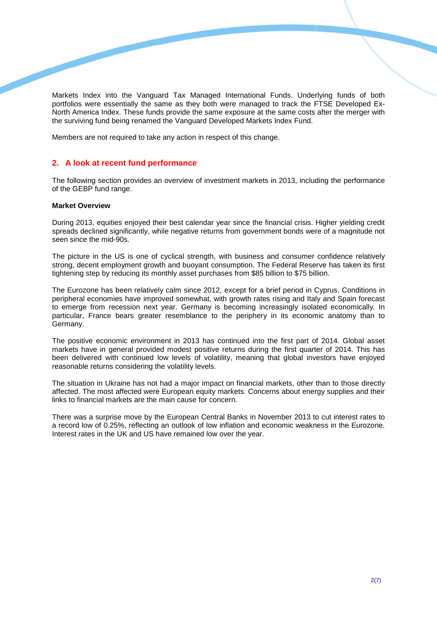Markets Index into the Vanguard Tax Managed International Funds. Underlying funds of both portfolios were essentially the same as they both were managed to track the FTSE Developed Ex-North America Index. These funds provide the same exposure at the same costs after the m merger with the surviving fund being renamed the Vanguard Developed Markets Index Fund.

Members are not required to take any action in respect of this change.

## **2. A look at recent fund performance**

The following section provides an overview of investment markets in 2013, including the performance of the GEBP fund range.

#### **Market Overview**

During 2013, equities enjoyed their best calendar year since the financial crisis. Higher yielding credit spreads declined significantly, while negative returns from government bonds were of a magnitude not seen since the mid-90s.

The picture in the US is one of cyclical strength, with business and consumer confidence relatively strong, decent employment growth and buoyant consumption. The Federal Reserve has taken its first tightening step by reducing its monthly asset purchases from \$85 billion to \$75 billion.

The Eurozone has been relatively calm since 2012, except for a brief period in Cyprus. Conditions in peripheral economies have improved somewhat, with growth rates rising and Italy and Spain forecas forecast to emerge from recession next year. Germany is becoming increasingly isolated economically. In particular, France bears greater resemblance to the periphery in its economic anatomy than to Germany.

The positive economic environment in 2013 has continued into the first part of 2014. Global asset markets have in general provided modest positive returns during the first quarter of 2014. This has been delivered with continued low levels of volatility, meaning that global investors have enjoyed reasonable returns considering the volatility levels.

The situation in Ukraine has not had a major impact on financial markets, other than to those directly affected. The most affected were European equity markets. Concerns about energy supplies and their links to financial markets are the main cause for concern. returns<br>un in Ukine<br>most<br>ncial ma

There was a surprise move by the European Central Banks in November 2013 to cut interest rates to a record low of 0.25%, reflecting an outlook of low inflation and economic weakness in the Eurozone. Interest rates in the UK and US have remained low over the year.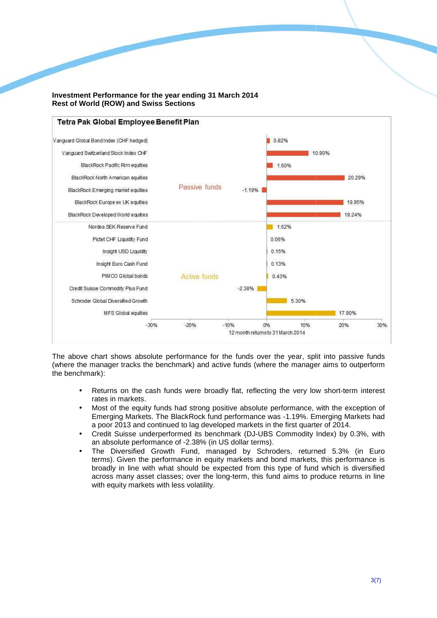

## **Investment Performance for the year ending 31 March 2014 Rest of World (ROW) and Swiss Sections**

The above chart shows absolute performance for the funds over the year, split into passive funds (where the manager tracks the benchmark) and active funds (where the manager aims to outperform the benchmark):

- Returns on the cash funds were broadly flat, reflecting the very low short-term interest rates in markets.
- Most of the equity funds had strong positive absolute performance, with the exception of Emerging Markets. The BlackRock fund performance was -1.19%. Emerging Markets had a poor 2013 and continued to lag developed markets in the first quarter of 2014.
- Credit Suisse underperformed its benchmark (DJ-UBS Commodity Index) by 0.3%, with an absolute performance of -2.38% (in US dollar terms). ce was -1.19%. Emerging Markets had<br>ts in the first quarter of 2014.<br>UBS Commodity Index) by 0.3%, with<br>rms).<br>Schroders, returned 5.3% (in Euro<br>and bond markets, this performance is
- The Diversified Growth Fund, managed by Schroders, returned 5.3% (in Euro terms). Given the performance in equity markets and bond markets, this performance broadly in line with what should be expected from this type of fund which is diversified across many asset classes; over the long-term, this fund aims to produce returns in line with equity markets with less volatility.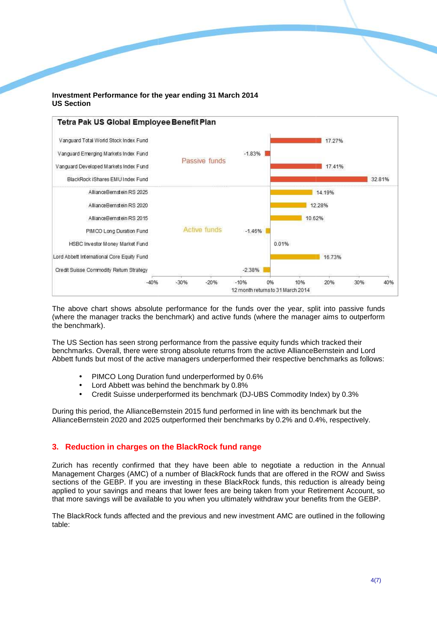## **Investment Performance for the year ending 31 March 2014 US Section**



The above chart shows absolute performance for the funds over the year, split into passive funds (where the manager tracks the benchmark) and active funds (where the manager aims to outperform the benchmark).

The US Section has seen strong performance from the passive equity funds which tracked their The US Section has seen strong performance from the passive equity funds which tracked their<br>benchmarks. Overall, there were strong absolute returns from the active AllianceBernstein and Lord Abbett funds but most of the active managers underperformed their respective benchmarks as follows:

- PIMCO Long Duration fund underperformed by 0.6%
- Lord Abbett was behind the benchmark by 0.8% 0.8%
- Credit Suisse underperformed its benchmark (DJ-UBS Commodity Index) by 0.3%

During this period, the AllianceBernstein 2015 fund performed in line with its benchmark but the AllianceBernstein 2020 and 2025 outperformed their benchmarks by 0.2% and 0.4%, respectively.

## **3. Reduction in charges on the the BlackRock fund range**

Zurich has recently confirmed that they have been able to negotiate a reduction in the Annual Management Charges (AMC) of a number of BlackRock funds that are offered in the ROW and Swiss sections of the GEBP. If you are investing in these BlackRock funds, this reduction is already being applied to your savings and means that lower fees are being taken from your Retirement Account, so that more savings will be available to you when you ultimately withdraw your benefits from the GEBP. UBS Commodity Index) by 0.3%<br>in line with its benchmark but the<br>irks by 0.2% and 0.4%, respectively.<br>**ge**<br>**ge**<br>o negotiate a reduction in the Annual<br>s that are offered in the ROW and Swiss<br>k funds, this reduction is alread

The BlackRock funds affected and the previous and new investment AMC are outlined in the following table: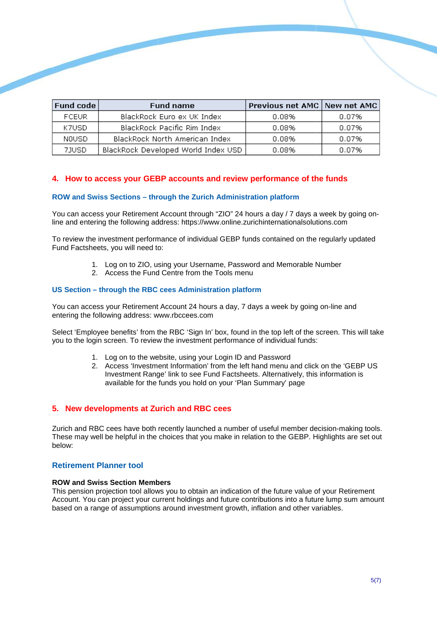| $\mid$ Fund code $\mid$ | <b>Fund name</b>                    | Previous net AMC   New net AMC |       |
|-------------------------|-------------------------------------|--------------------------------|-------|
| <b>FCEUR</b>            | BlackRock Euro ex UK Index          | 0.08%                          | 0.07% |
| K7USD                   | BlackRock Pacific Rim Index         | 0.08%                          | 0.07% |
| NOUSD.                  | BlackRock North American Index      | 0.08%                          | 0.07% |
| 7JUSD                   | BlackRock Developed World Index USD | 0.08%                          | 0.07% |

# **4. How to access your GEBP accounts and review performance of the funds**

#### **ROW and Swiss Sections – through the Zurich Administration platform**

You can access your Retirement Account through "ZIO" 24 hours a day / 7 days a week by going online and entering the following address: https://www.online.zurichinternationalsolutions.com

To review the investment performance of individual GEBP funds contained on the regularly updated Fund Factsheets, you will need to:

- 1. Log on to ZIO, using your Username, Password and Memorable Number
- 2. Access the Fund Centre from the Tools menu

#### **US Section – through the RBC cees Administration platform**

You can access your Retirement Account 24 hours a day, 7 days a week by going on-line and entering the following address: www.rbccees.com

Select 'Employee benefits' from the RBC 'Sign In' box, found in the top left of the screen. This will take you to the login screen. To review the investment performance of individual funds:

- 1. Log on to the website, using your Login ID and Password
- 2. Access 'Investment Investment Information' from the left hand menu and click on the 'GEBP US Investment Range' link to see Fund Factsheets. Alternatively, this information is available for the funds you hold on your 'Plan Summary' page Investment Range' link to see Fund Factsheets. Alternatively, this information is<br>available for the funds you hold on your 'Plan Summary' page<br>5. New developments at Zurich and RBC cees<br>Zurich and RBC cees have both recent

#### **5. New developments at Zurich and RBC cees**

These may well be helpful in the choices that you make in relation to the GEBP. Highlights are set out below:

## **Retirement Planner tool**

## **ROW and Swiss Section Members**

This pension projection tool allows you to obtain an indication of the future value of your Retirement This pension projection tool allows you to obtain an indication of the future value of your Retirement<br>Account. You can project your current holdings and future contributions into a future lump sum amount based on a range of assumptions around investment growth, inflation and other variables.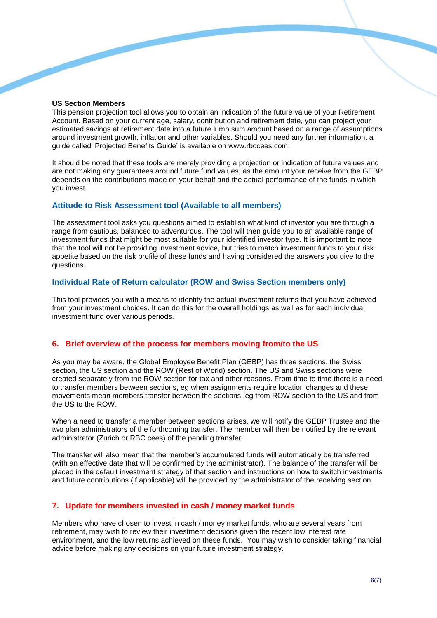#### **US Section Members**

This pension projection tool allows you to obtain an indication of the future value of your Retirement Account. Based on your current age, salary, contribution and retirement date, you can project your estimated savings at retirement date into a future lump sum amount based on a range of assumptions around investment growth, inflation and other variables. Should you need any further information, a guide called 'Projected Benefits Guide' is available on www.rbccees.com. his pension projection tool allows you to obtain an indication of the future value of your Retiremen<br>ccount. Based on your current age, salary, contribution and retirement date, you can project your<br>stimated savings at ret

It should be noted that these tools are merely providing a projection or indication of future values and are not making any guarantees around future fund values, as the amount your receive from the GEBP depends on the contributions made on your behalf and the actual performance of the funds in which you invest.

## Attitude to Risk Assessment tool (Available to all members)

The assessment tool asks you questions aimed to establish what kind of investor you are through a range from cautious, balanced to adventurous. The tool will then guide you to an available range of investment funds that might be most suitable for your identified investor type. It is important to note range from cautious, balanced to adventurous. The tool will then guide you to an available range of<br>investment funds that might be most suitable for your identified investor type. It is important to note<br>that the tool will appetite based on the risk profile of these funds and having considered the answers you give to the questions.

## Individual Rate of Return calculator (ROW and Swiss Section members only)

This tool provides you with a means to identify the actual investment returns that you have achieved from your investment choices. It can do this for the overall holdings as well as for each individual investment fund over various periods.

## **6. Brief overview of the process for members moving from/to the US**

As you may be aware, the Global Employee Benefit Plan (GEBP) has three sections, the Swiss section, the US section and the ROW (Rest of World) section. The US and Swiss sections were created separately from the ROW section for tax and other reasons. From t time to time there is a need to transfer members between sections, eg when assignments require location changes and these movements mean members transfer between the sections, eg from ROW section to the US and from the US to the ROW. tify the actual investment returns that<br>for the overall holdings as well as for<br>the overall holdings as well as for<br>**members moving from/to the U**<br>e Benefit Plan (GEBP) has three sec<br>of World) section. The US and Swis<br>priv

When a need to transfer a member between sections arises, we will notify the GEBP Trustee and the two plan administrators of the forthcoming transfer. The member will then be notified by the relevant administrator (Zurich or RBC cees) of the pending transfer.

The transfer will also mean that the member's accumulated funds will automatically be transferred (with an effective date that will be confirmed by the administrator). The balance of the transfer will be placed in the default investment strategy of that section and instructions on how to switch investments and future contributions (if applicable) will be provided by the administrator of the receiving section. ll also mean that the member's accumulated funds will automatically be transferred<br>ve date that will be confirmed by the administrator). The balance of the transfer will be<br>efault investment strategy of that section and in

## **7. Update for members invested in cash / money market funds**

Members who have chosen to invest in cash / money market funds, who are several years from retirement, may wish to review their investment decisions given the recent low interest rate environment, and the low returns achieved on these funds. You may wish to consider taking financial advice before making any decisions on your future investment strategy.